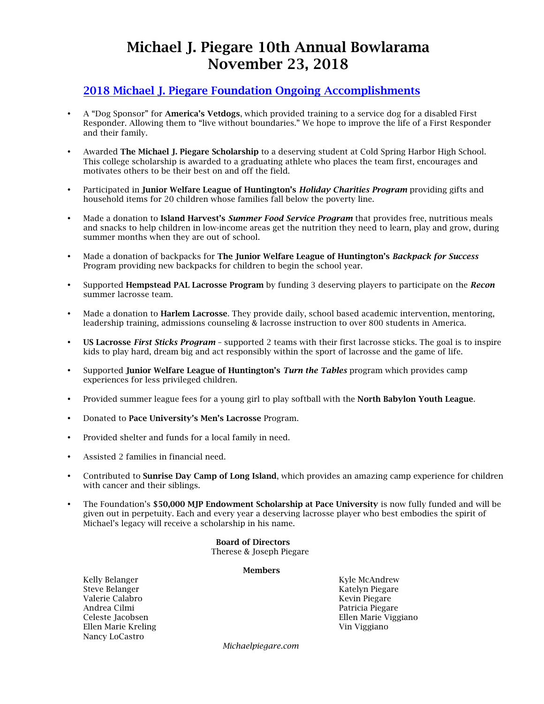# Michael J. Piegare 10th Annual Bowlarama November 23, 2018

#### 2018 Michael J. Piegare Foundation Ongoing Accomplishments

- A "Dog Sponsor" for America's Vetdogs, which provided training to a service dog for a disabled First Responder. Allowing them to "live without boundaries." We hope to improve the life of a First Responder and their family.
- Awarded The Michael J. Piegare Scholarship to a deserving student at Cold Spring Harbor High School. This college scholarship is awarded to a graduating athlete who places the team first, encourages and motivates others to be their best on and off the field.
- Participated in Junior Welfare League of Huntington's *Holiday Charities Program* providing gifts and household items for 20 children whose families fall below the poverty line.
- Made a donation to Island Harvest's *Summer Food Service Program* that provides free, nutritious meals and snacks to help children in low-income areas get the nutrition they need to learn, play and grow, during summer months when they are out of school.
- Made a donation of backpacks for The Junior Welfare League of Huntington's *Backpack for Success* Program providing new backpacks for children to begin the school year.
- Supported Hempstead PAL Lacrosse Program by funding 3 deserving players to participate on the *Recon* summer lacrosse team.
- Made a donation to Harlem Lacrosse. They provide daily, school based academic intervention, mentoring, leadership training, admissions counseling & lacrosse instruction to over 800 students in America.
- US Lacrosse *First Sticks Program* supported 2 teams with their first lacrosse sticks. The goal is to inspire kids to play hard, dream big and act responsibly within the sport of lacrosse and the game of life.
- Supported Junior Welfare League of Huntington's *Turn the Tables* program which provides camp experiences for less privileged children.
- Provided summer league fees for a young girl to play softball with the North Babylon Youth League.
- Donated to Pace University's Men's Lacrosse Program.
- Provided shelter and funds for a local family in need.
- Assisted 2 families in financial need.
- Contributed to Sunrise Day Camp of Long Island, which provides an amazing camp experience for children with cancer and their siblings.
- The Foundation's \$50,000 MJP Endowment Scholarship at Pace University is now fully funded and will be given out in perpetuity. Each and every year a deserving lacrosse player who best embodies the spirit of Michael's legacy will receive a scholarship in his name.

 Board of Directors Therese & Joseph Piegare

#### Members

Kelly Belanger National Communication of the McAndrew Kyle McAndrew Kyle McAndrew Steve Belanger Katelyn Piegare Valerie Calabro Kevin Piegare Andrea Cilmi Patricia Piegare Ellen Marie Kreling **Vin Viggiano** Vin Viggiano Nancy LoCastro

Celeste Jacobsen Ellen Marie Viggiano

*Michaelpiegare.com*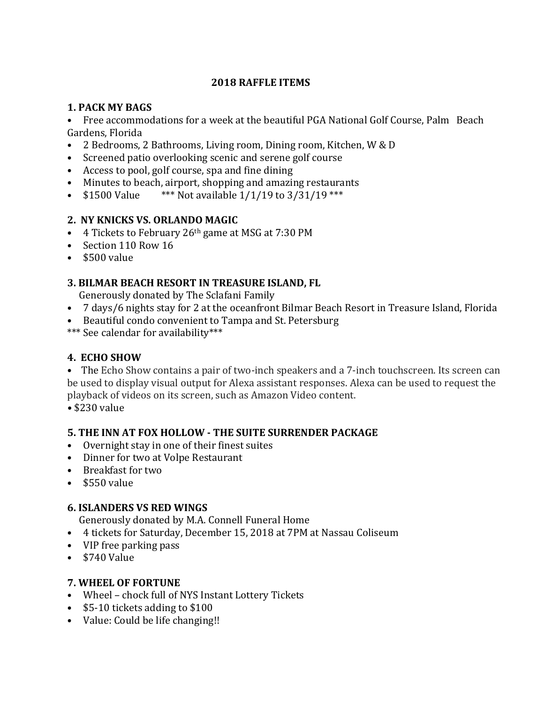# **2018 RAFFLE ITEMS**

#### **1. PACK MY BAGS**

• Free accommodations for a week at the beautiful PGA National Golf Course, Palm Beach Gardens, Florida

- 2 Bedrooms, 2 Bathrooms, Living room, Dining room, Kitchen, W & D
- Screened patio overlooking scenic and serene golf course
- Access to pool, golf course, spa and fine dining
- Minutes to beach, airport, shopping and amazing restaurants
- $$1500$  Value \*\*\* Not available  $1/1/19$  to  $3/31/19$  \*\*\*

# **2. NY KNICKS VS. ORLANDO MAGIC**

- 4 Tickets to February  $26<sup>th</sup>$  game at MSG at 7:30 PM
- Section 110 Row 16
- \$500 value

# **3. BILMAR BEACH RESORT IN TREASURE ISLAND, FL**

Generously donated by The Sclafani Family

- 7 days/6 nights stay for 2 at the oceanfront Bilmar Beach Resort in Treasure Island, Florida
- Beautiful condo convenient to Tampa and St. Petersburg
- \*\*\* See calendar for availability\*\*\*

# **4. ECHO SHOW**

• The Echo Show contains a pair of two-inch speakers and a 7-inch touchscreen. Its screen can be used to display visual output for Alexa assistant responses. Alexa can be used to request the playback of videos on its screen, such as Amazon Video content.

*•* \$230 value

# **5. THE INN AT FOX HOLLOW - THE SUITE SURRENDER PACKAGE**

- Overnight stay in one of their finest suites
- Dinner for two at Volpe Restaurant
- Breakfast for two
- $\cdot$  \$550 value

# **6. ISLANDERS VS RED WINGS**

Generously donated by M.A. Connell Funeral Home

- 4 tickets for Saturday, December 15, 2018 at 7PM at Nassau Coliseum
- VIP free parking pass
- \$740 Value

# **7. WHEEL OF FORTUNE**

- Wheel chock full of NYS Instant Lottery Tickets
- $$5-10$  tickets adding to  $$100$
- Value: Could be life changing!!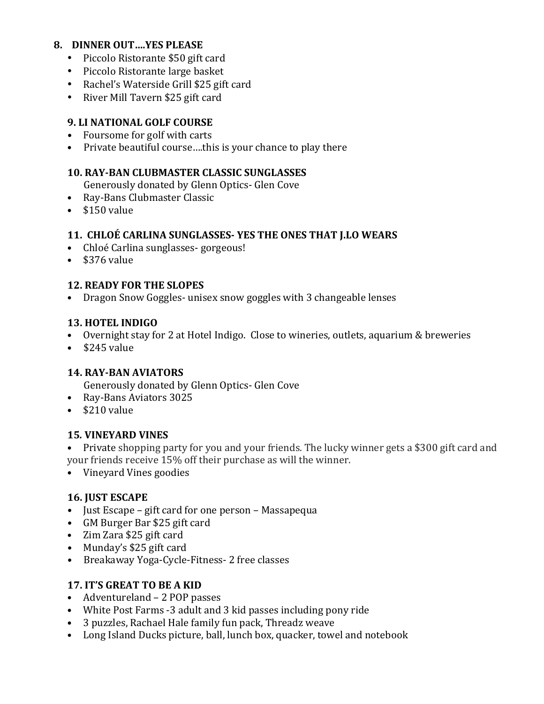#### **8. DINNER OUT….YES PLEASE**

- Piccolo Ristorante \$50 gift card
- Piccolo Ristorante large basket
- Rachel's Waterside Grill \$25 gift card
- River Mill Tavern \$25 gift card

#### **9. LI NATIONAL GOLF COURSE**

- Foursome for golf with carts
- Private beautiful course ... this is your chance to play there

#### **10. RAY-BAN CLUBMASTER CLASSIC SUNGLASSES**

Generously donated by Glenn Optics- Glen Cove

- Ray-Bans Clubmaster Classic
- $\cdot$  \$150 $v$ alue

#### **11. CHLOÉ CARLINA SUNGLASSES- YES THE ONES THAT J.LO WEARS**

- Chloé Carlina sunglasses-gorgeous!
- $\cdot$  \$376 value

#### **12. READY FOR THE SLOPES**

• Dragon Snow Goggles- unisex snow goggles with 3 changeable lenses

#### **13. HOTEL INDIGO**

- Overnight stay for 2 at Hotel Indigo. Close to wineries, outlets, aquarium & breweries
- $\cdot$  \$245 value

# **14. RAY-BAN AVIATORS**

Generously donated by Glenn Optics- Glen Cove

- Ray-Bans Aviators 3025
- $\cdot$  \$210 value

# **15***.* **VINEYARD VINES**

• Private shopping party for you and your friends. The lucky winner gets a \$300 gift card and your friends receive 15% off their purchase as will the winner.

• Vineyard Vines goodies

# **16. JUST ESCAPE**

- Just Escape gift card for one person Massapequa
- GM Burger Bar \$25 gift card
- Zim Zara \$25 gift card
- Munday's \$25 gift card
- Breakaway Yoga-Cycle-Fitness- 2 free classes

# **17. IT'S GREAT TO BE A KID**

- Adventureland 2 POP passes
- White Post Farms -3 adult and 3 kid passes including pony ride
- 3 puzzles, Rachael Hale family fun pack, Threadz weave
- Long Island Ducks picture, ball, lunch box, quacker, towel and notebook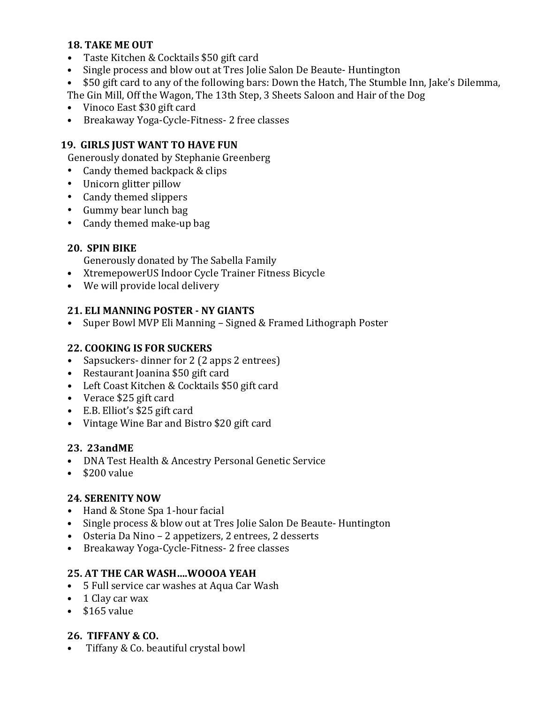#### **18. TAKE ME OUT**

- Taste Kitchen & Cocktails \$50 gift card
- Single process and blow out at Tres Jolie Salon De Beaute- Huntington
- \$50 gift card to any of the following bars: Down the Hatch, The Stumble Inn, Jake's Dilemma,

The Gin Mill, Off the Wagon, The 13th Step, 3 Sheets Saloon and Hair of the Dog

- Vinoco East \$30 gift card
- Breakaway Yoga-Cycle-Fitness- 2 free classes

# **19. GIRLS JUST WANT TO HAVE FUN**

Generously donated by Stephanie Greenberg

- Candy themed backpack & clips
- Unicorn glitter pillow
- Candy themed slippers
- Gummy bear lunch bag
- Candy themed make-up bag

# **20. SPIN BIKE**

Generously donated by The Sabella Family

- XtremepowerUS Indoor Cycle Trainer Fitness Bicycle
- We will provide local delivery

# **21. ELI MANNING POSTER - NY GIANTS**

• Super Bowl MVP Eli Manning – Signed & Framed Lithograph Poster

# **22. COOKING IS FOR SUCKERS**

- Sapsuckers- dinner for 2 (2 apps 2 entrees)
- Restaurant Joanina \$50 gift card
- Left Coast Kitchen & Cocktails \$50 gift card
- Verace \$25 gift card
- E.B. Elliot's \$25 gift card
- Vintage Wine Bar and Bistro \$20 gift card

# **23. 23andME**

- DNA Test Health & Ancestry Personal Genetic Service
- $\cdot$  \$200 value

# **24***.* **SERENITY NOW**

- Hand & Stone Spa 1-hour facial
- Single process & blow out at Tres Jolie Salon De Beaute- Huntington
- Osteria Da Nino 2 appetizers, 2 entrees, 2 desserts
- Breakaway Yoga-Cycle-Fitness- 2 free classes

# **25. AT THE CAR WASH....WOOOA YEAH**

- 5 Full service car washes at Aqua Car Wash
- 1 Clay car wax
- $\cdot$  \$165 value

# **26. TIFFANY & CO.**

• Tiffany & Co. beautiful crystal bowl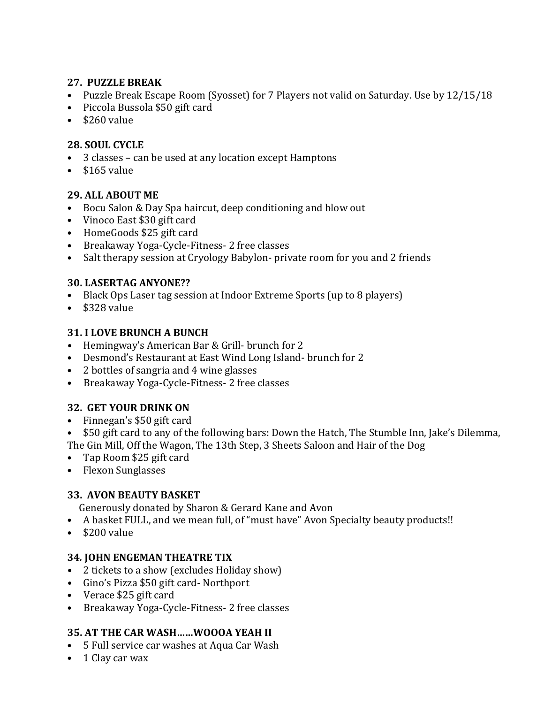#### **27. PUZZLE BREAK**

- Puzzle Break Escape Room (Syosset) for 7 Players not valid on Saturday. Use by 12/15/18
- Piccola Bussola \$50 gift card
- $\cdot$  \$260 value

#### **28. SOUL CYCLE**

- 3 classes can be used at any location except Hamptons
- $\cdot$  \$165 value

#### 29. ALL ABOUT ME

- Bocu Salon & Day Spa haircut, deep conditioning and blow out
- Vinoco East \$30 gift card
- HomeGoods \$25 gift card
- Breakaway Yoga-Cycle-Fitness- 2 free classes
- Salt therapy session at Cryology Babylon- private room for you and 2 friends

#### **30. LASERTAG ANYONE??**

- Black Ops Laser tag session at Indoor Extreme Sports (up to 8 players)
- \$328 value

#### **31. I LOVE BRUNCH A BUNCH**

- Hemingway's American Bar & Grill- brunch for 2
- Desmond's Restaurant at East Wind Long Island- brunch for 2
- 2 bottles of sangria and 4 wine glasses
- Breakaway Yoga-Cycle-Fitness- 2 free classes

# **32. GET YOUR DRINK ON**

• Finnegan's \$50 gift card

• \$50 gift card to any of the following bars: Down the Hatch, The Stumble Inn, Jake's Dilemma, The Gin Mill, Off the Wagon, The 13th Step, 3 Sheets Saloon and Hair of the Dog

- Tap Room \$25 gift card
- Flexon Sunglasses

# **33. AVON BEAUTY BASKET**

Generously donated by Sharon & Gerard Kane and Avon

- A basket FULL, and we mean full, of "must have" Avon Specialty beauty products!!
- \$200 value

#### **34***.* **JOHN ENGEMAN THEATRE TIX**

- 2 tickets to a show (excludes Holiday show)
- Gino's Pizza \$50 gift card- Northport
- Verace \$25 gift card
- Breakaway Yoga-Cycle-Fitness- 2 free classes

# **35. AT THE CAR WASH......WOOOA YEAH II**

- 5 Full service car washes at Aqua Car Wash
- 1 Clay car wax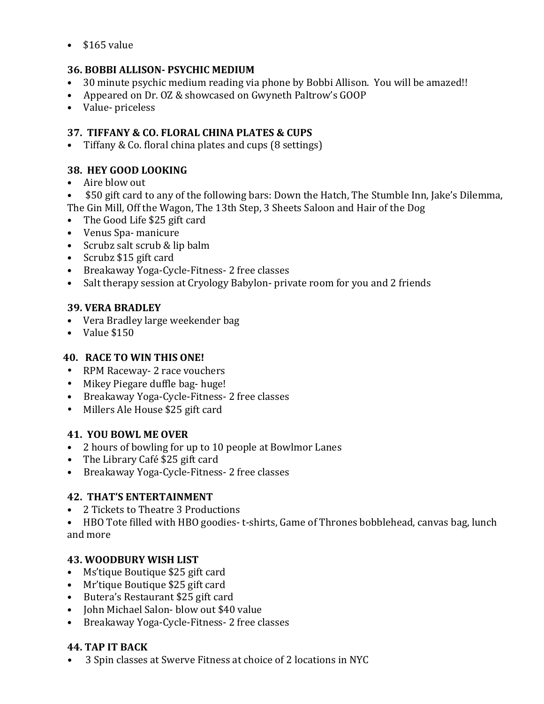$\cdot$  \$165 value

# **36. BOBBI ALLISON- PSYCHIC MEDIUM**

- 30 minute psychic medium reading via phone by Bobbi Allison. You will be amazed!!
- Appeared on Dr. OZ & showcased on Gwyneth Paltrow's GOOP
- Value- priceless

# **37. TIFFANY & CO. FLORAL CHINA PLATES & CUPS**

• Tiffany & Co. floral china plates and cups (8 settings)

# **38. HEY GOOD LOOKING**

- Aire blow out
- \$50 gift card to any of the following bars: Down the Hatch, The Stumble Inn, Jake's Dilemma, The Gin Mill, Off the Wagon, The 13th Step, 3 Sheets Saloon and Hair of the Dog
- The Good Life \$25 gift card
- Venus Spa- manicure
- Scrubz salt scrub & lip balm
- Scrubz \$15 gift card
- Breakaway Yoga-Cycle-Fitness- 2 free classes
- Salt therapy session at Cryology Babylon- private room for you and 2 friends

# **39. VERA BRADLEY**

- Vera Bradley large weekender bag
- $\bullet$  Value \$150

# **40. RACE TO WIN THIS ONE!**

- RPM Raceway- 2 race vouchers
- Mikey Piegare duffle bag- huge!
- Breakaway Yoga-Cycle-Fitness- 2 free classes
- Millers Ale House \$25 gift card

# **41. YOU BOWL ME OVER**

- 2 hours of bowling for up to 10 people at Bowlmor Lanes
- The Library Café \$25 gift card
- Breakaway Yoga-Cycle-Fitness- 2 free classes

# **42. THAT'S ENTERTAINMENT**

• 2 Tickets to Theatre 3 Productions

• HBO Tote filled with HBO goodies- t-shirts, Game of Thrones bobblehead, canvas bag, lunch and more

# **43. WOODBURY WISH LIST**

- Ms'tique Boutique \$25 gift card
- Mr'tique Boutique \$25 gift card
- Butera's Restaurant \$25 gift card
- John Michael Salon- blow out \$40 value
- Breakaway Yoga-Cycle-Fitness- 2 free classes

# **44. TAP IT BACK**

• 3 Spin classes at Swerve Fitness at choice of 2 locations in NYC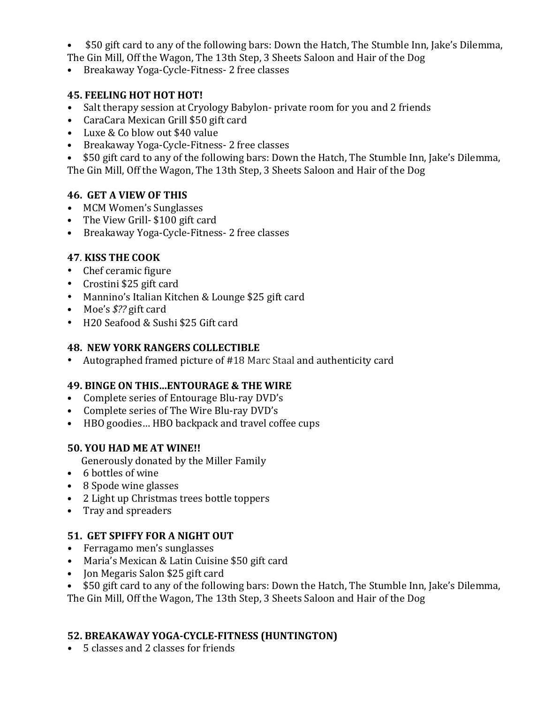- \$50 gift card to any of the following bars: Down the Hatch, The Stumble Inn, Jake's Dilemma,
- The Gin Mill, Off the Wagon, The 13th Step, 3 Sheets Saloon and Hair of the Dog
- Breakaway Yoga-Cycle-Fitness- 2 free classes

# **45. FEELING HOT HOT HOT!**

- Salt therapy session at Cryology Babylon- private room for you and 2 friends
- CaraCara Mexican Grill \$50 gift card
- Luxe & Co blow out \$40 value
- Breakaway Yoga-Cycle-Fitness- 2 free classes

• \$50 gift card to any of the following bars: Down the Hatch, The Stumble Inn, Jake's Dilemma, The Gin Mill, Off the Wagon, The 13th Step, 3 Sheets Saloon and Hair of the Dog

# **46. GET A VIEW OF THIS**

- MCM Women's Sunglasses
- The View Grill- \$100 gift card
- Breakaway Yoga-Cycle-Fitness- 2 free classes

# **47**. **KISS THE COOK**

- Chef ceramic figure
- Crostini \$25 gift card
- Mannino's Italian Kitchen & Lounge \$25 gift card
- Moe's  $$$ ?? gift card
- H20 Seafood & Sushi \$25 Gift card

#### **48. NEW YORK RANGERS COLLECTIBLE**

• Autographed framed picture of #18 Marc Staal and authenticity card

# **49. BINGE ON THIS...ENTOURAGE & THE WIRE**

- Complete series of Entourage Blu-ray DVD's
- Complete series of The Wire Blu-ray DVD's
- HBO goodies... HBO backpack and travel coffee cups

# **50. YOU HAD ME AT WINE!!**

Generously donated by the Miller Family

- 6 bottles of wine
- 8 Spode wine glasses
- 2 Light up Christmas trees bottle toppers
- Tray and spreaders

# **51. GET SPIFFY FOR A NIGHT OUT**

- Ferragamo men's sunglasses
- Maria's Mexican & Latin Cuisine \$50 gift card
- Jon Megaris Salon \$25 gift card
- \$50 gift card to any of the following bars: Down the Hatch, The Stumble Inn, Jake's Dilemma,

The Gin Mill, Off the Wagon, The 13th Step, 3 Sheets Saloon and Hair of the Dog

# **52. BREAKAWAY YOGA-CYCLE-FITNESS (HUNTINGTON)**

• 5 classes and 2 classes for friends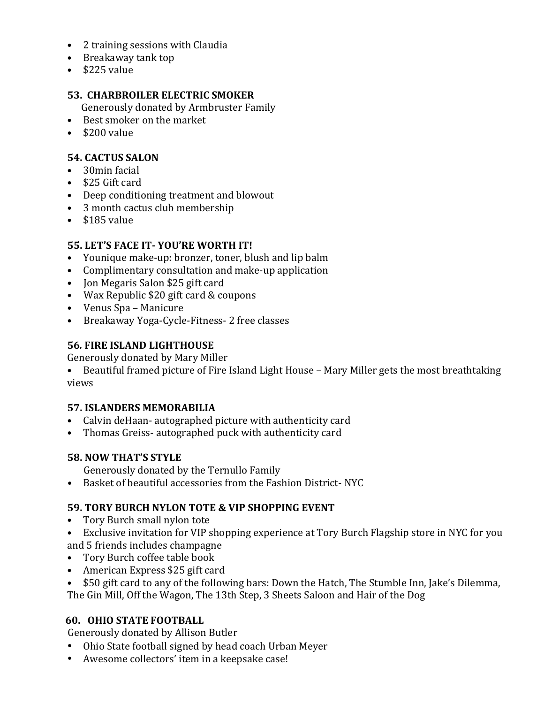- 2 training sessions with Claudia
- Breakaway tank top
- $\cdot$  \$225 value

#### **53. CHARBROILER ELECTRIC SMOKER**

Generously donated by Armbruster Family

- Best smoker on the market
- $\cdot$  \$200 value

#### **54. CACTUS SALON**

- 30min facial
- $\bullet$  \$25 Gift card
- Deep conditioning treatment and blowout
- 3 month cactus club membership
- $\cdot$  \$185 value

# **55. LET'S FACE IT-YOU'RE WORTH IT!**

- Younique make-up: bronzer, toner, blush and lip balm
- Complimentary consultation and make-up application
- Jon Megaris Salon \$25 gift card
- Wax Republic \$20 gift card & coupons
- Venus Spa Manicure
- Breakaway Yoga-Cycle-Fitness- 2 free classes

# **56***.* **FIRE ISLAND LIGHTHOUSE**

Generously donated by Mary Miller

• Beautiful framed picture of Fire Island Light House - Mary Miller gets the most breathtaking views

# **57. ISLANDERS MEMORABILIA**

- Calvin deHaan- autographed picture with authenticity card
- Thomas Greiss- autographed puck with authenticity card

# **58. NOW THAT'S STYLE**

Generously donated by the Ternullo Family

• Basket of beautiful accessories from the Fashion District-NYC

# **59. TORY BURCH NYLON TOTE & VIP SHOPPING EVENT**

- Tory Burch small nylon tote
- Exclusive invitation for VIP shopping experience at Tory Burch Flagship store in NYC for you and 5 friends includes champagne
- Tory Burch coffee table book
- American Express \$25 gift card
- \$50 gift card to any of the following bars: Down the Hatch, The Stumble Inn, Jake's Dilemma,

The Gin Mill, Off the Wagon, The 13th Step, 3 Sheets Saloon and Hair of the Dog

# **60. OHIO STATE FOOTBALL**

Generously donated by Allison Butler

- Ohio State football signed by head coach Urban Meyer
- Awesome collectors' item in a keepsake case!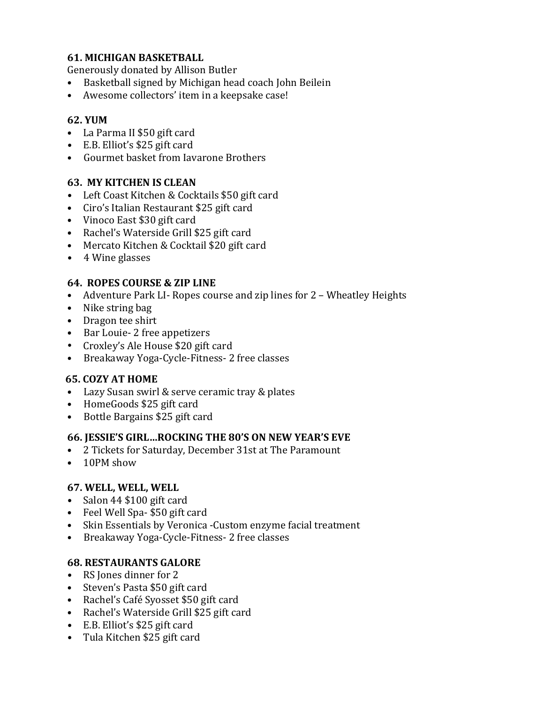#### **61. MICHIGAN BASKETBALL**

Generously donated by Allison Butler

- Basketball signed by Michigan head coach John Beilein
- Awesome collectors' item in a keepsake case!

#### **62. YUM**

- La Parma II \$50 gift card
- E.B. Elliot's \$25 gift card
- Gourmet basket from Iavarone Brothers

#### **63. MY KITCHEN IS CLEAN**

- Left Coast Kitchen & Cocktails \$50 gift card
- Ciro's Italian Restaurant \$25 gift card
- Vinoco East \$30 gift card
- Rachel's Waterside Grill \$25 gift card
- Mercato Kitchen & Cocktail \$20 gift card
- 4 Wine glasses

#### **64. ROPES COURSE & ZIP LINE**

- Adventure Park LI-Ropes course and zip lines for 2 Wheatley Heights
- Nike string bag
- Dragon tee shirt
- Bar Louie- 2 free appetizers
- Croxley's Ale House \$20 gift card
- Breakaway Yoga-Cycle-Fitness- 2 free classes

# **65. COZY AT HOME**

- Lazy Susan swirl & serve ceramic tray & plates
- HomeGoods \$25 gift card
- Bottle Bargains \$25 gift card

#### **66. JESSIE'S GIRL…ROCKING THE 80'S ON NEW YEAR'S EVE**

- 2 Tickets for Saturday, December 31st at The Paramount
- 10PM show

# **67. WELL, WELL, WELL**

- Salon 44 \$100 gift card
- Feel Well Spa- \$50 gift card
- Skin Essentials by Veronica -Custom enzyme facial treatment
- Breakaway Yoga-Cycle-Fitness- 2 free classes

# **68. RESTAURANTS GALORE**

- RS Jones dinner for 2
- Steven's Pasta \$50 gift card
- Rachel's Café Syosset \$50 gift card
- Rachel's Waterside Grill \$25 gift card
- E.B. Elliot's \$25 gift card
- Tula Kitchen \$25 gift card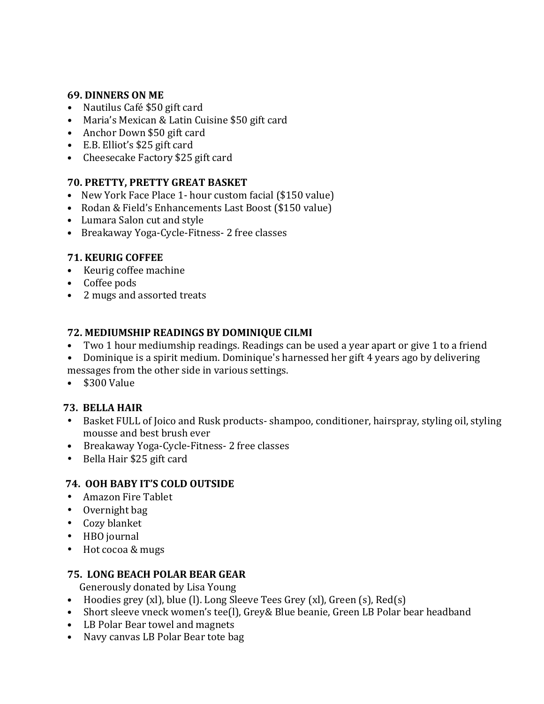#### **69. DINNERS ON ME**

- Nautilus Café \$50 gift card
- Maria's Mexican & Latin Cuisine \$50 gift card
- Anchor Down \$50 gift card
- E.B. Elliot's \$25 gift card
- Cheesecake Factory \$25 gift card

#### **70. PRETTY, PRETTY GREAT BASKET**

- New York Face Place 1- hour custom facial (\$150 value)
- Rodan & Field's Enhancements Last Boost (\$150 value)
- Lumara Salon cut and style
- Breakaway Yoga-Cycle-Fitness- 2 free classes

# **71. KEURIG COFFEE**

- Keurig coffee machine
- Coffee pods
- 2 mugs and assorted treats

# **72. MEDIUMSHIP READINGS BY DOMINIQUE CILMI**

- Two 1 hour mediumship readings. Readings can be used a year apart or give 1 to a friend
- Dominique is a spirit medium. Dominique's harnessed her gift 4 years ago by delivering messages from the other side in various settings.
- $\bullet$  \$300 Value

# **73. BELLA HAIR**

- Basket FULL of Joico and Rusk products- shampoo, conditioner, hairspray, styling oil, styling mousse and best brush ever
- Breakaway Yoga-Cycle-Fitness- 2 free classes
- Bella Hair \$25 gift card

# **74. OOH BABY IT'S COLD OUTSIDE**

- Amazon Fire Tablet
- $\bullet$  Overnight bag
- Cozy blanket
- HBO journal
- Hot cocoa & mugs

# **75. LONG BEACH POLAR BEAR GEAR**

Generously donated by Lisa Young

- Hoodies grey  $(x)$ , blue  $(l)$ . Long Sleeve Tees Grey  $(x)$ , Green  $(s)$ , Red $(s)$
- Short sleeve vneck women's tee(I), Grey& Blue beanie, Green LB Polar bear headband
- LB Polar Bear towel and magnets
- Navy canvas LB Polar Bear tote bag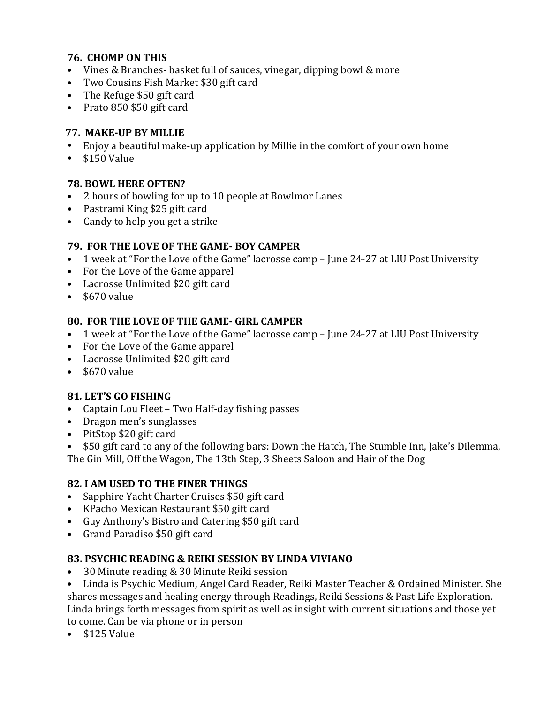#### **76. CHOMP ON THIS**

- Vines & Branches- basket full of sauces, vinegar, dipping bowl & more
- Two Cousins Fish Market \$30 gift card
- The Refuge \$50 gift card
- Prato 850 \$50 gift card

#### **77. MAKE-UP BY MILLIE**

- Enjoy a beautiful make-up application by Millie in the comfort of your own home
- $\cdot$  \$150 Value

#### **78. BOWL HERE OFTEN?**

- 2 hours of bowling for up to 10 people at Bowlmor Lanes
- Pastrami King \$25 gift card
- Candy to help you get a strike

#### **79. FOR THE LOVE OF THE GAME- BOY CAMPER**

- 1 week at "For the Love of the Game" lacrosse camp June 24-27 at LIU Post University
- For the Love of the Game apparel
- Lacrosse Unlimited \$20 gift card
- $\cdot$  \$670 value

#### **80. FOR THE LOVE OF THE GAME- GIRL CAMPER**

- 1 week at "For the Love of the Game" lacrosse camp June 24-27 at LIU Post University
- For the Love of the Game apparel
- Lacrosse Unlimited \$20 gift card
- $\cdot$  \$670 value

#### **81***.* **LET'S GO FISHING**

- Captain Lou Fleet Two Half-day fishing passes
- Dragon men's sunglasses
- PitStop \$20 gift card
- \$50 gift card to any of the following bars: Down the Hatch, The Stumble Inn, Jake's Dilemma,

The Gin Mill, Off the Wagon, The 13th Step, 3 Sheets Saloon and Hair of the Dog

#### **82***.* **I AM USED TO THE FINER THINGS**

- Sapphire Yacht Charter Cruises \$50 gift card
- KPacho Mexican Restaurant \$50 gift card
- Guy Anthony's Bistro and Catering \$50 gift card
- Grand Paradiso \$50 gift card

# **83. PSYCHIC READING & REIKI SESSION BY LINDA VIVIANO**

- 30 Minute reading & 30 Minute Reiki session
- Linda is Psychic Medium, Angel Card Reader, Reiki Master Teacher & Ordained Minister. She shares messages and healing energy through Readings, Reiki Sessions & Past Life Exploration. Linda brings forth messages from spirit as well as insight with current situations and those yet to come. Can be via phone or in person
- $\bullet$  \$125 Value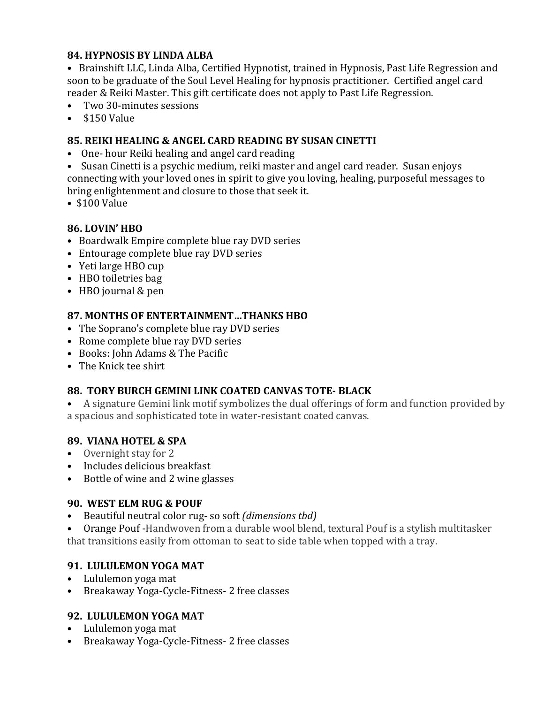#### **84. HYPNOSIS BY LINDA ALBA**

• Brainshift LLC, Linda Alba, Certified Hypnotist, trained in Hypnosis, Past Life Regression and soon to be graduate of the Soul Level Healing for hypnosis practitioner. Certified angel card reader & Reiki Master. This gift certificate does not apply to Past Life Regression.

- Two 30-minutes sessions
- $\bullet$  \$150 Value

#### **85. REIKI HEALING & ANGEL CARD READING BY SUSAN CINETTI**

• One- hour Reiki healing and angel card reading

• Susan Cinetti is a psychic medium, reiki master and angel card reader. Susan enjoys connecting with your loved ones in spirit to give you loving, healing, purposeful messages to bring enlightenment and closure to those that seek it.

 $\cdot$  \$100 Value

# **86. LOVIN' HBO**

- Boardwalk Empire complete blue ray DVD series
- Entourage complete blue ray DVD series
- Yeti large HBO cup
- HBO toiletries bag
- HBO journal & pen

#### **87. MONTHS OF ENTERTAINMENT...THANKS HBO**

- The Soprano's complete blue ray DVD series
- Rome complete blue ray DVD series
- Books: John Adams & The Pacific
- The Knick tee shirt

# **88. TORY BURCH GEMINI LINK COATED CANVAS TOTE- BLACK**

• A signature Gemini link motif symbolizes the dual offerings of form and function provided by a spacious and sophisticated tote in water-resistant coated canvas.

#### **89. VIANA HOTEL & SPA**

- Overnight stay for 2
- Includes delicious breakfast
- Bottle of wine and 2 wine glasses

#### **90. WEST ELM RUG & POUF**

• Beautiful neutral color rug- so soft *(dimensions tbd)* 

• Orange Pouf -Handwoven from a durable wool blend, textural Pouf is a stylish multitasker that transitions easily from ottoman to seat to side table when topped with a tray.

# **91. LULULEMON YOGA MAT**

- Lululemon yoga mat
- Breakaway Yoga-Cycle-Fitness- 2 free classes

# **92. LULULEMON YOGA MAT**

- Lululemon yoga mat
- Breakaway Yoga-Cycle-Fitness- 2 free classes